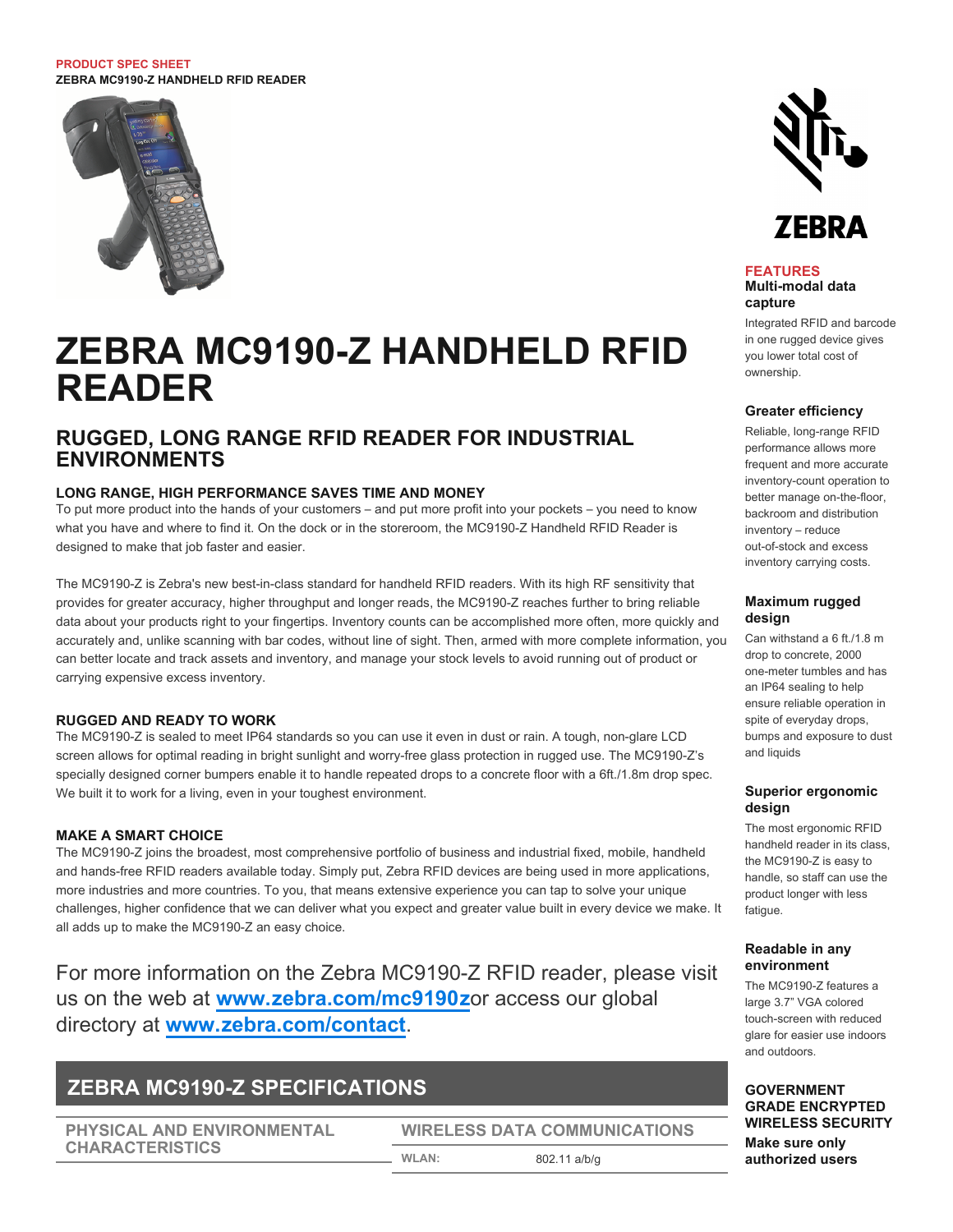#### **PRODUCT SPEC SHEET ZEBRA MC9190-Z HANDHELD RFID READER**



# **ZEBRA MC9190-Z HANDHELD RFID READER**

# **RUGGED, LONG RANGE RFID READER FOR INDUSTRIAL ENVIRONMENTS**

# **LONG RANGE, HIGH PERFORMANCE SAVES TIME AND MONEY**

To put more product into the hands of your customers – and put more profit into your pockets – you need to know what you have and where to find it. On the dock or in the storeroom, the MC9190-Z Handheld RFID Reader is designed to make that job faster and easier.

The MC9190-Z is Zebra's new best-in-class standard for handheld RFID readers. With its high RF sensitivity that provides for greater accuracy, higher throughput and longer reads, the MC9190-Z reaches further to bring reliable data about your products right to your fingertips. Inventory counts can be accomplished more often, more quickly and accurately and, unlike scanning with bar codes, without line of sight. Then, armed with more complete information, you can better locate and track assets and inventory, and manage your stock levels to avoid running out of product or carrying expensive excess inventory.

# **RUGGED AND READY TO WORK**

The MC9190-Z is sealed to meet IP64 standards so you can use it even in dust or rain. A tough, non-glare LCD screen allows for optimal reading in bright sunlight and worry-free glass protection in rugged use. The MC9190-Z's specially designed corner bumpers enable it to handle repeated drops to a concrete floor with a 6ft./1.8m drop spec. We built it to work for a living, even in your toughest environment.

# **MAKE A SMART CHOICE**

The MC9190-Z joins the broadest, most comprehensive portfolio of business and industrial fixed, mobile, handheld and hands-free RFID readers available today. Simply put, Zebra RFID devices are being used in more applications, more industries and more countries. To you, that means extensive experience you can tap to solve your unique challenges, higher confidence that we can deliver what you expect and greater value built in every device we make. It all adds up to make the MC9190-Z an easy choice.

For more information on the Zebra MC9190-Z RFID reader, please visit us on the web at **[www.zebra.com/mc9190z](http://www.zebra.com/mc9190z)**or access our global directory at **[www.zebra.com/contact](http://www.zebra.com/contact)**.

# **ZEBRA MC9190-Z SPECIFICATIONS**

**PHYSICAL AND ENVIRONMENTAL CHARACTERISTICS**

# **WIRELESS DATA COMMUNICATIONS WLAN:** 802.11 a/b/g



#### **FEATURES Multi-modal data capture**

Integrated RFID and barcode in one rugged device gives you lower total cost of ownership.

#### **Greater efficiency**

Reliable, long-range RFID performance allows more frequent and more accurate inventory-count operation to better manage on-the-floor, backroom and distribution inventory – reduce out-of-stock and excess inventory carrying costs.

## **Maximum rugged design**

Can withstand a 6 ft./1.8 m drop to concrete, 2000 one-meter tumbles and has an IP64 sealing to help ensure reliable operation in spite of everyday drops, bumps and exposure to dust and liquids

# **Superior ergonomic design**

The most ergonomic RFID handheld reader in its class, the MC9190-Z is easy to handle, so staff can use the product longer with less fatigue.

### **Readable in any environment**

The MC9190-Z features a large 3.7" VGA colored touch-screen with reduced glare for easier use indoors and outdoors.

**GOVERNMENT GRADE ENCRYPTED WIRELESS SECURITY Make sure only authorized users**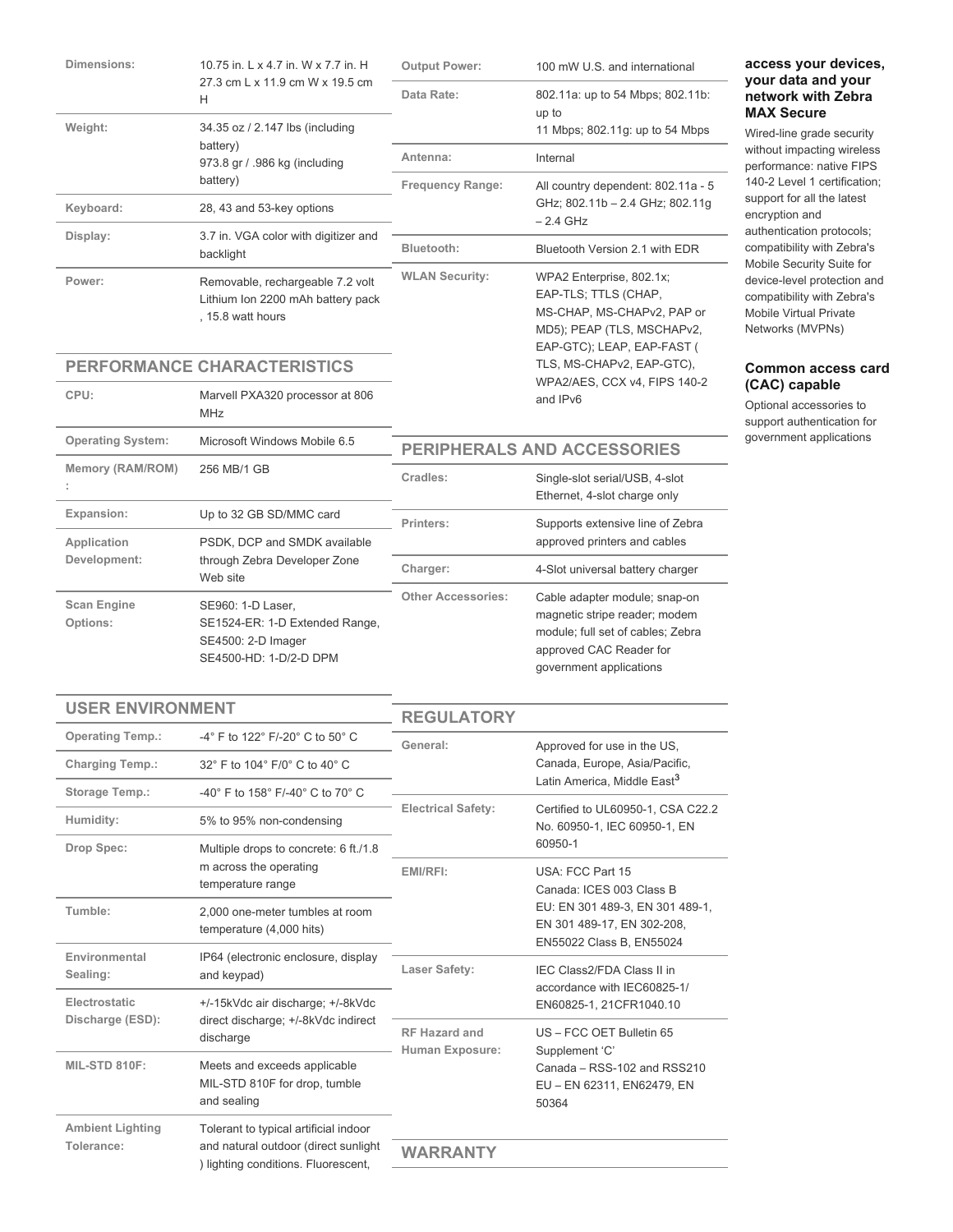| 10.75 in. L x 4.7 in. W x 7.7 in. H                                                                     | <b>Output Power:</b>                                                       | 100 mW U.S. and international                                                                                                                                           |
|---------------------------------------------------------------------------------------------------------|----------------------------------------------------------------------------|-------------------------------------------------------------------------------------------------------------------------------------------------------------------------|
| H                                                                                                       | Data Rate:                                                                 | 802.11a: up to 54 Mbps; 802.11b:<br>up to                                                                                                                               |
| 34.35 oz / 2.147 lbs (including                                                                         |                                                                            | 11 Mbps; 802.11g: up to 54 Mbps                                                                                                                                         |
| 973.8 gr / .986 kg (including<br>battery)                                                               | Antenna:                                                                   | Internal                                                                                                                                                                |
|                                                                                                         | <b>Frequency Range:</b><br>GHz; 802.11b - 2.4 GHz; 802.11g<br>$-2.4$ GHz   | All country dependent: 802.11a - 5                                                                                                                                      |
| 28, 43 and 53-key options                                                                               |                                                                            |                                                                                                                                                                         |
| 3.7 in. VGA color with digitizer and<br>backlight                                                       | Bluetooth:                                                                 | Bluetooth Version 2.1 with EDR                                                                                                                                          |
| Removable, rechargeable 7.2 volt<br>Lithium Ion 2200 mAh battery pack<br>, 15.8 watt hours              | <b>WLAN Security:</b>                                                      | WPA2 Enterprise, 802.1x;<br>EAP-TLS; TTLS (CHAP,<br>MS-CHAP, MS-CHAPv2, PAP or<br>MD5); PEAP (TLS, MSCHAPv2,<br>EAP-GTC); LEAP, EAP-FAST (<br>TLS, MS-CHAPv2, EAP-GTC), |
|                                                                                                         | WPA2/AES, CCX v4, FIPS 140-2<br>and IPv6                                   |                                                                                                                                                                         |
| Marvell PXA320 processor at 806<br><b>MHz</b>                                                           |                                                                            |                                                                                                                                                                         |
| Microsoft Windows Mobile 6.5                                                                            | PERIPHERALS AND ACCESSORIES                                                |                                                                                                                                                                         |
| 256 MB/1 GB                                                                                             | Cradles:                                                                   | Single-slot serial/USB, 4-slot<br>Ethernet, 4-slot charge only                                                                                                          |
| Up to 32 GB SD/MMC card                                                                                 | Printers:<br>approved printers and cables                                  | Supports extensive line of Zebra                                                                                                                                        |
| Application<br>PSDK, DCP and SMDK available<br>Development:<br>through Zebra Developer Zone<br>Web site |                                                                            |                                                                                                                                                                         |
|                                                                                                         | Charger:                                                                   | 4-Slot universal battery charger                                                                                                                                        |
| SE960: 1-D Laser,<br>SE1524-ER: 1-D Extended Range,<br>SE4500: 2-D Imager<br>SE4500-HD: 1-D/2-D DPM     | <b>Other Accessories:</b>                                                  | Cable adapter module; snap-on<br>magnetic stripe reader; modem<br>module; full set of cables; Zebra<br>approved CAC Reader for<br>government applications               |
|                                                                                                         | 27.3 cm L x 11.9 cm W x 19.5 cm<br>battery)<br>PERFORMANCE CHARACTERISTICS |                                                                                                                                                                         |

# **access your devices, your data and your network with Zebra MAX Secure**

Wired-line grade security without impacting wireless performance: native FIPS 140-2 Level 1 certification; support for all the latest encryption and authentication protocols; compatibility with Zebra's Mobile Security Suite for device-level protection and compatibility with Zebra's Mobile Virtual Private Networks (MVPNs)

# **Common access card (CAC) capable**

Optional accessories to support authentication for government applications

# **USER ENVIRONMENT**

| UJEN EN VINUNIVIEN I                                                                                                                                          |                                                                                                           | <b>REGULATORY</b>                                                                                                                                     |                                                                                                                                                                              |
|---------------------------------------------------------------------------------------------------------------------------------------------------------------|-----------------------------------------------------------------------------------------------------------|-------------------------------------------------------------------------------------------------------------------------------------------------------|------------------------------------------------------------------------------------------------------------------------------------------------------------------------------|
| <b>Operating Temp.:</b>                                                                                                                                       | -4° F to 122° F/-20° C to 50° C                                                                           | General:<br><b>Electrical Safety:</b>                                                                                                                 | Approved for use in the US,<br>Canada, Europe, Asia/Pacific,<br>Latin America. Middle East <sup>3</sup><br>Certified to UL60950-1, CSA C22.2<br>No. 60950-1, IEC 60950-1, EN |
| <b>Charging Temp.:</b>                                                                                                                                        | 32° F to 104° F/0° C to 40° C                                                                             |                                                                                                                                                       |                                                                                                                                                                              |
| Storage Temp.:                                                                                                                                                | -40 $^{\circ}$ F to 158 $^{\circ}$ F/-40 $^{\circ}$ C to 70 $^{\circ}$ C                                  |                                                                                                                                                       |                                                                                                                                                                              |
| Humidity:                                                                                                                                                     | 5% to 95% non-condensing                                                                                  |                                                                                                                                                       |                                                                                                                                                                              |
| Drop Spec:                                                                                                                                                    | Multiple drops to concrete: 6 ft./1.8                                                                     | 60950-1                                                                                                                                               |                                                                                                                                                                              |
|                                                                                                                                                               | m across the operating<br>temperature range                                                               | EMI/RFI:<br>USA: FCC Part 15<br>Canada: ICES 003 Class B<br>EU: EN 301 489-3, EN 301 489-1,<br>EN 301 489-17, EN 302-208,<br>EN55022 Class B, EN55024 |                                                                                                                                                                              |
| Tumble:                                                                                                                                                       | 2.000 one-meter tumbles at room<br>temperature (4,000 hits)                                               |                                                                                                                                                       |                                                                                                                                                                              |
| Environmental<br>Sealing:                                                                                                                                     | IP64 (electronic enclosure, display<br>and keypad)                                                        | Laser Safety:                                                                                                                                         | IEC Class2/FDA Class II in<br>accordance with IEC60825-1/                                                                                                                    |
| Electrostatic                                                                                                                                                 | +/-15kVdc air discharge; +/-8kVdc<br>Discharge (ESD):<br>direct discharge: +/-8kVdc indirect<br>discharge |                                                                                                                                                       | EN60825-1, 21CFR1040.10                                                                                                                                                      |
|                                                                                                                                                               |                                                                                                           | <b>RF Hazard and</b><br>Human Exposure:                                                                                                               | US - FCC OET Bulletin 65<br>Supplement 'C'<br>Canada - RSS-102 and RSS210<br>EU - EN 62311, EN62479, EN<br>50364                                                             |
| MIL-STD 810F:                                                                                                                                                 | Meets and exceeds applicable<br>MIL-STD 810F for drop, tumble<br>and sealing                              |                                                                                                                                                       |                                                                                                                                                                              |
| <b>Ambient Lighting</b><br>Tolerant to typical artificial indoor<br>Tolerance:<br>and natural outdoor (direct sunlight<br>) lighting conditions. Fluorescent, |                                                                                                           |                                                                                                                                                       |                                                                                                                                                                              |
|                                                                                                                                                               |                                                                                                           | WARRANTY                                                                                                                                              |                                                                                                                                                                              |
|                                                                                                                                                               |                                                                                                           |                                                                                                                                                       |                                                                                                                                                                              |